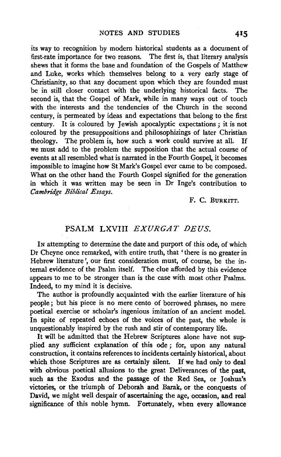its way to recognition by modern historical students as a document of first-rate importance for two reasons. The first is, that literary analysis shews that it forms the base and foundation of the Gospels of Matthew and Luke, works which themselves belong to a very early stage of Christianity, so that any document upon which they are founded must<br>be in still closer contact with the underlying historical facts. The be in still closer contact with the underlying historical facts. second is, that the Gospel of Mark, while in many ways out of touch with the interests and the tendencies of the Church in the second century, is permeated by ideas and expectations that belong to the first century. It is coloured by Jewish apocalyptic expectations; it is not coloured by the presuppositions and philosophizings of later Christian theology. The problem is, how such a work could survive at all. If theology. The problem is, how such a work could survive at all. we must add to the problem the supposition that the actual course of events at all resembled what is narrated in the Fourth Gospel, it becomes impossible to imagine how St Mark's Gospel ever came to be composed. What on the other hand the Fourth Gospel signified for the generation in which it was written may be seen in Dr Inge's contribution to *Cambridge Biblical Essays.* 

F. c. BURKITT.

# PSALM LXVIII EXURGAT DEUS.

In attempting to determine the date and purport of this ode, of which Dr Cheyne once remarked, with entire truth, that 'there is no greater in Hebrew literature', our first consideration must, of course, be the internal evidence of the Psalm itself. The clue afforded by this evidence appears to me to be stronger than is the case with most other Psalms. Indeed, to my mind it is decisive.

The author is profoundly acquainted with the earlier literature of his people; but his piece is no mere cento of borrowed phrases, no mere poetical exercise or scholar's ingenious imitation of an ancient model. In spite of repeated echoes of the voices of the past, the whole is unquestionably inspired by the rush and stir of contemporary life.

It will be admitted that the Hebrew Scriptures alone have not supplied any sufficient explanation of this ode ; for, upon any natural construction, it contains references to incidents certainly historical, about which those Scriptures are as certainly silent. If we had only to deal with obvious poetical allusions to the great Deliverances of the past, such as the Exodus and the passage of the Red Sea, or Joshua's victories, or the triumph of Deborah and Barak, or the conquests of David, we might well despair of ascertaining the age, occasion, and real significance of this noble hymn. Fortunately, when every allowance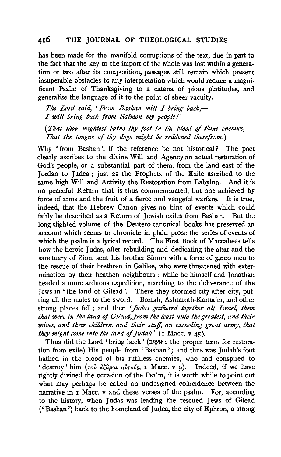has been made for the manifold corruptions of the text, due in part to the fact that the key to the import of the whole was lost within a generation or two after its composition, passages still remain which present insuperable obstacles to any interpretation which would reduce a magnificent Psalm of Thanksgiving to a catena of pious platitudes, and generalize the language of it to the point of sheer vacuity.

*The Lord said, 'From Bashan will I bring back,- I will bring back from Salmon my people* I'

*(That thou mightest bathe thy foot in the blood* of *thine enemies,-* That the tongue of thy dogs might be reddened therefrom.)

Why ' from Bashan ', if the reference be not historical? The poet clearly ascribes to the divine Will and Agency an actual restoration of God's people, or a substantial part of them, from the land east of the Jordan to Judea; just as the Prophets of the Exile ascribed to the same high Will and Activity the Restoration from Babylon. And it is no peaceful Return that is thus commemorated, but one achieved by force of arms and the fruit of a fierce and vengeful warfare. It is true, indeed, that the Hebrew Canon gives no hint of events which could fairly be described as a Return of Jewish exiles from Bashan. But the long-slighted volume of the Deutero-canonical books has preserved an account which seems to chronicle in plain prose the series of events of which the psalm is a lyrical record. The First Book of Maccabees tells how the heroic Judas, after rebuilding and dedicating the altar and the sanctuary of Zion, sent his brother Simon with a force of 3,ooo men to the rescue of their brethren in Galilee, who were threatened with extermination by their heathen neighbours; while he himself and Jonathan headed a more arduous expedition, marching to the deliverance of the Jews in 'the land of Gilead '. There they stormed city after city, putting all the males to the sword. Bozrah, Ashtaroth-Karnaim, and other strong places fell; and then *'Judas gathered together all Israel, them that were t'n the land* of *Gilead,from the least unto the greatest, and their wives, and their children, and their stuff, an exceeding great army, that they might come into the land of Judah'* (1 Macc.  $v$  45).

Thus did the Lord 'bring back ' (אשיב ; the proper term for restoration from exile) His people from 'Bashan'; and thus was Judah's foot bathed in the blood of his ruthless enemies, who had conspired to 'destroy' him  $(700 \text{ e} \xi \hat{a}$ *pal av*<sub>7</sub>ovs, I Macc. v 9). Indeed, if we have rightly divined the occasion of the Psalm, it is worth while to point out what may perhaps be called an undesigned coincidence between the narrative in I Macc. v and these verses of the psalm. For, according to the history, when Judas was leading the rescued Jews of Gilead ('Bashan') back to the homeland of Judea, the city of Ephron, a strong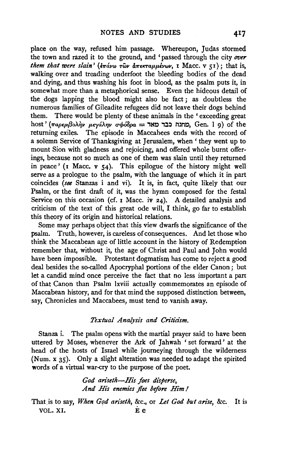place on the way, refused him passage. Whereupon, Judas stormed the town and razed it to the ground, and 'passed through the city *over them that were slain'* ( $\frac{1}{2}\pi\omega v$   $\omega$   $\frac{1}{2}\pi\epsilon\kappa\tau\alpha\mu\mu\epsilon\nu\omega\nu$ , I Macc. v 51); that is, walking over and treading underfoot the bleeding bodies of the dead and dying, and thus washing his foot in blood, as the psalm puts it, in somewhat more than a metaphorical sense. Even the hideous detail of the dogs lapping the blood might also be fact ; as doubtless the numerous families of Gileadite refugees did not leave their dogs behind them. There would be plenty of these animals in the ' exceeding great host ' (παρεμβολὴν μεγάλην σφόδρα = בבר מאד, Gen. l 9) of the returning exiles. The episode in Maccahees ends with the record of a solemn Service of Thanksgiving at Jerusalem, when ' they went up to mount Sion with gladness and rejoicing, and offered whole burnt offerings, because not so much as one of them was slain until they returned in peace' ( $\mathbf{i}$  Macc.  $\mathbf{v}$  54). This epilogue of the history might well serve as a prologue to the psalm, with the language of which it in part coincides *(see* Stanzas i and vi). It is, in fact, quite likely that our Psalm, or the first draft of it, was the hymn composed for the festal Service on this occasion (cf.  $\bar{x}$  Macc. iv 24). A detailed analysis and criticism of the text of this great ode will, I think, go far to establish this theory of its origin and historical relations.

Some may perhaps object that this view dwarfs the significance of the psalm. Truth, however, is careless of consequences. And let those who think the Maccabean age of little account in the history of Redemption remember that, without it, the age of Christ and Paul and John would have been impossible. Protestant dogmatism has come to reject a good deal besides the so-called Apocryphal portions of the elder Canon ; but let a candid mind once perceive the fact that no less important a part of that Canon than Psalm lxviii actually commemorates an episode of Maccabean history, and for that mind the supposed distinction between, say, Chronicles and Maccabees, must tend to vanish away.

### *Textual Analysis and Criticism.*

Stanza i. The psalm opens with the martial prayer said to have been uttered by Moses, whenever the Ark of Jahwah 'set forward' at the head of the hosts of Israel while journeying through the wilderness (Num. x 35). Only a slight alteration was needed to adapt the spirited words of a virtual war-cry to the purpose of the poet.

> *God ariseth-His foes disperse, And His enemies .flee before Him I*

That is to say, *When God ariseth*, &c., or *Let God but arise*, &c. It is VOL. XI. E e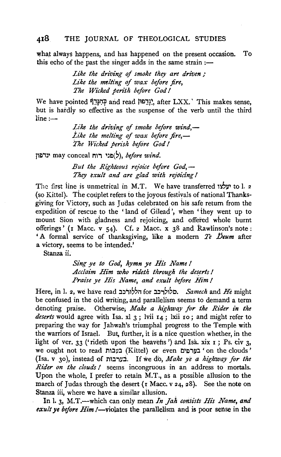what always happens, and has happened on the present occasion. To this echo of the past the singer adds in the same strain  $:$ --

> Like the driving of smoke they are driven; *Like the mtlting* of *wax before fire, The Wicked pensh before God* I

We have pointed יְוָּבִם and read וְיָּבִם!, after LXX.' This makes sense, but is hardiy so effective as the suspense of the verb until the third  $line:$ 

> Like the driving of *smoke before wind*,— *Like the melting of wax before fire,*— *The Wicked perish before God* I

Jl!l,J~ may conceal nr"l ~J!l(;), *before wind.* 

*But the Righteous rejoice before God,- They exult and are glad with rejoicing* I

The first line is unmetrical in M.T. We have transferred wy to 1. 2 (so Kittel). The couplet refers to the joyous festivals of national Thanksgiving for Victory, such as Judas celebrated on his safe return from the expedition of rescue to the 'land of Gilead ', when 'they went up to mount Sion with giadness and rejoicing, and offered whole burnt offerings' (r Mace. v 54). Cf. 2 Mace. x 38 and kawlinson's note: ' A formai service of thanksgiving, like a modern *Te JJeum* after a victory, seems to be intended.'

Stanza ii.

*Sing ye to God, hymn ye His Name!* Acclaim Him who rideth through the deserts ! *Praise ye His Name, and exult before Him* I

Here, in I. 2, we have read :l::lil,,rr for :l::l,;,,;,c. *Samech* and *He* might be confused in the old writing, and parallelism seems to demand a term denoting praise. Otherwise; *Make a highway for the Rider in the deserts* would agree with Isa. xl 3 ; lvii 14 ; lxii ro; and might refer to preparing the way for Jahwah's triumphal progress to the Temple with the warriors of Israel. But, further, it is a nice question whether, in the light of ver. 33 ('rideth upon the heavens') and Isa. xix  $r$ ; Ps. civ 3, we ought not to read בערפים (Kittel) or even בערפים 'on the clouds' (Isa. v 30 ), instead of Ml:l'1~.:i. If we do, *Make ye a highway for the Rider on the clouds* I seems incongruous in an address to mortals. Upon the whole, I prefer to retain M.T., as a possible allusion to the march of Judas through the desert  $(x \text{ Macc. } v \text{ 24, 28})$ . See the note on Stanza iii, where we have a similar allusion.

In l. 3, M.T.—which can only mean *In Jah consists His Name*, and *exult ye before Him !*—violates the parallelism and is poor sense in the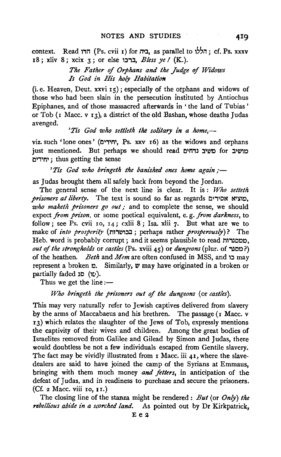context. Read הדו (Ps. cvii 1) for ביה, as parallel to ', cf. Ps. xxxv 18; xliv 8; xcix 3; or else t::l.,:l, *Bless ye* I (K.).

> *The Father of Orphans and the Judge of Widows Is God in His holy HabitatioN*

(i.e. Heaven, Deut. xxvi  $r_5$ ); especially of the orphans and widows of those who had been slain in the persecution ihstituted by Antiochus Epiphanes, and of those massacred afterwards in 'the land of Tubias' or Tob (1 Mace. v 13), a district of the old Bashan, whose deaths Judas avenged.

'Tis God who settleth the solitary in a home,-

viz. such 'lone ones' (יחידים; Ps. xxv 16) as the widows and orphans just mentioned. But perhaps we should read משיב נדחים for : I:I','M' ; thus getting the sense

'Tis God who bringeth the banished ones home again :-

as Judas brought them all safely back from beyond the Jordan.

The general sense of the next line is clear. It is : *Who setteth*  prisoners at liberty. The text is sound so far as regards יבוציא אסירים, *who maketh prisoners go out*; and to complete the sense, we should expect *from pn'son,* or some poetical equivalent, e. g. *from darkness,* to follow; see Ps. cvii 10, 14; cxlii 8; Isa. xlii 7. But what are we to make of *into prosperity* (nl.,~.::l:l; perhaps rather *prosperously)?* The Heb. word is probably corrupt; and it seems plausible to read ... *out of the strongholds* or *castles* (Ps. xviii 45) or *dungeons* (plur. of ~CO?) of the heathen. *Beth* and *Mem* are often confused in MSS, and t::l may represent a broken  $r$ . Similarly,  $v$  may have originated in a broken or partially faded  $\Box$ (י $\Box$ ו).

Thus we get the line  $:$ ---

*Who bringeth the pn'soners out of the dungeons* (or *castles).* 

This may very naturally refer to Jewish captives delivered from slavery by the arms of Maccabaeus and his brethren. The passage (1 Macc. v 13) which relates the slaughter of the Jews of Tob, expressly mentions the captivity of their wives and children. Among the great bodies of Israelites removed from Galilee and Gilead by Simon and Judas, there would doubtless be not a few individuals escaped from Gentile slavery. The fact may be vividly illustrated from  $\bf{r}$  Macc. iii 41, where the slavedealers are said to have joined the camp of the Syrians at Emmaus, bringing with them much money *and fetters,* in anticipation of the defeat of Judas, and in readiness to purchase and secure the prisoners.  $(CF. z Macc. viii$  10, 11.)

The closing line of the stanza might be rendered: *But* (or *Only) the rebellious abide in a scorched land.* As pointed out by Dr Kirkpatrick,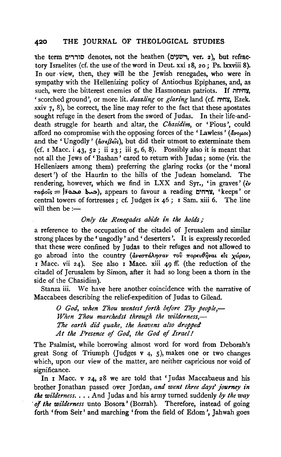the term סוררים, ver. 2), but refractory Israelites (cf. the use of the word in Deut. xxi I8, 20; Ps. lxxviii 8). In our view, then, they will be the Jewish renegades, who were in sympathy with the Hellenizing policy of Antiochus Epiphanes, and, as such, were the bitterest enemies of the Hasmonean patriots. If  $m$ 'scorched ground', or more lit. *dazzling* or *glaring* land (cf. M'MY, Ezek. xxiv  $\tau$ , 8), be correct, the line may refer to the fact that these apostates sought refuge in the desert from the sword of Judas. In their life-anddeath struggle for hearth and altar, the *Chasidim*, or 'Pious', could afford no compromise with the opposing forces of the 'Lawless' ( $\tilde{d}$ voµot) and the 'Ungodly' ( $d\sigma \epsilon \beta \epsilon \hat{\epsilon} s$ ), but did their utmost to exterminate them (cf. I Macc.  $i$  43, 52; ii 23; iii 5, 6, 8). Possibly also it is meant that not all the Jews of 'Bashan' cared to return with Judas; some (viz. the Hellenizers among them) preferring the glaring rocks (or the 'moral desert') of the Haurân to the hills of the Judean homeland. The rendering, however, which we find in LXX and Syr., 'in graves' ( $\epsilon$ v  $\tau a \phi o \hat{i} s =$   $\tau a \phi o \hat{i} s$  appears to favour a reading  $\tau a \tau s$ , 'keeps' or central towers of fortresses ; cf. Judges ix 46 ; I Sam. xiii 6. The line will then be  $:$ ---

## *Only the Renegades abide in the holds;*

a reference to the occupation of the citadel of Jerusalem and similar strong places by the 'ungodly' and 'deserters'. It is expressly recorded that these were confined by Judas to their refuges and not allowed to go abroad into the country (&.v(OTdA710'aV *TOV* 7r0p(v9jjvaL *£le;* xwpav, I Macc. vii 24). See also I Macc. xiii 49 ff. (the reduction of the citadel of Jerusalem by Simon, after it had so long been a thorn in the side of the Chasidim).

Stanza iii. We have here another coincidence with the narrative of Maccabees describing the relief-expedition of Judas to Gilead.

*0 God, when Thou wentest forth before Thy people,- When Thou marchedst through the wilderness,- The earth did quake, the heavens also dropped At the Presence* of *God, the God* of *Israel!* 

The Psalmist, while borrowing almost word for word from Deborah's great Song of Triumph (Judges  $v_4$ , 5), makes one or two changes which, upon our view of the matter, are neither capricious nor void of significance.

In I Macc. v 24, 28 we are told that 'Judas Maccabaeus and his brother Jonathan passed over Jordan, and went three days' journey in *the wilderness .* ... And Judas and his army turned suddenly *by the way of the wilderness* unto Bosora<sup></sup> (Bozrah). Therefore, instead of going forth • from Seir' and marching • from the field of Edom ', Jahwah goes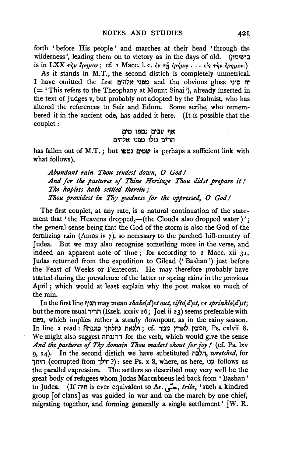forth ' before His people ' and marches at their head ' through the wilderness', leading them on to victory as in the days of old. (נשימון) is in LXX  $\tau \dot{\eta}$ v  $\dot{\epsilon}$ *py pov*; cf. 1 Macc. l. c.  $\dot{\epsilon}$ v  $\tau \dot{\eta}$   $\dot{\epsilon}$ *pήμω..*  $\dot{\epsilon}$ ...  $\dot{\epsilon}$ *is*  $\dot{\tau} \dot{\eta}$ ν  $\ddot{\epsilon}$ *py*  $\mu$ *ων.*)

As it stands in M.T., the second distich is completely unmetrical. I have omitted the first l:)li1'N IJ£)1::) and the obvious gloss IJ'C nr ( = 'This refers to the Theophany at Mount Sinai '), already inserted in the text of Judges v, but probably not adopted by the Psalmist, who has altered the references to Seir and Edom. Some scribe, who remembered it in the ancient ode, has added it here. (It is possible that the couplet:-

> אף עבים נמפו מים הרים נזלו מפני אלהים

has fallen out of M.T.; but שמים נמפו is perhaps a sufficient link with what follows).

*Abundant rain Thou sendest down, 0 God I*  And for the pastures of Thine Heritage Thou didst prepare it ! *The hapless hath settled therein* ; Thou providest in Thy goodness for the oppressed, O God !

The first couplet, at any rate, is a natural continuation of the statement that 'the Heavens dropped,—(the Clouds also dropped water)'; the general sense being that the God of the storm is also the God of the fertilizing rain (Amos iv  $\gamma$ ), so necessary to the parched hill-country of Judea. But we may also recognize something more in the verse, and But we may also recognize something more in the verse, and indeed an apparent note of time; for according to  $2$  Macc. xii  $31$ , Judas returned from the expedition to Gilead (' Bashan ') just before the Feast of Weeks or Pentecost. He may therefore probably have started during the prevalence of the latter or spring rains in the previous April ; which would at least explain why the poet makes so much of the rain.

In the first line !:}1Jn may mean *shake(d)st out, sifte( d)st,* or *spn·nkle(d}st;*  but the more usual תריד (Ezek. xxxiv 26; Joel ii 23) seems preferable with l:l~l, which implies rather a steady downpour, as in the rainy season. In line 2 read: finite (המכין לארץ מטר, Ps. cxlvii 8.<sup>,</sup> ) . ולנאת נחלתך We might also suggest הרננתה for the verb, which would give the sense And the pastures of *Thy domain Thou madest shout for joy I* (cf. Ps. lxv 9, 14). In the second distich we have substituted  $n, \tau$ retched, for חיתך (corrupted from ול הילך): see Ps. x 8, where, as here, ועני the parallel expression. The settlers so described may very well be the great body of refugees whom Judas Maccabaeus led back from ' Bashan' to Judea. (If חיה is ever equivalent to Ar.  $\zeta$ ,  $\zeta$ ,  $\zeta$  is  $\zeta$  is ever equivalent to Ar. group [of clans] as was guided in war and on the march by one chief, migrating together, and forming generally a single settlement' [W. R.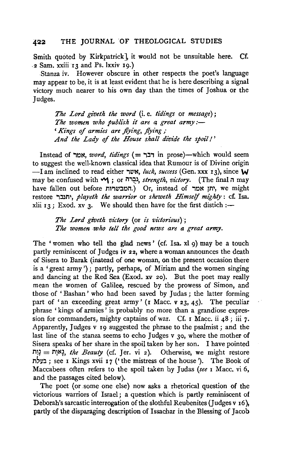Smith quoted by Kirkpatrick], it would not be unsuitable here. Cf. ·2 Sam. xxiii 13 and Ps. lxxiv 19.)

Stanza iv. However obscure in other respects the poet's language may appear to be, it is at least evident that he is here describing a signal victory much nearer to his own day than the times of Joshua or the Judges.

*The Lord giveth the word* (i.e. *tidings* or *message);*  The women who publish it are a great army:-*'Kings of armies are flying, flying;* And the Lady of the House shall divide the spoil!'

Instead of אמר, *word, tidings* (= דבר in prose)-which would seem to suggest the well-known classical idea that Rumour is of Divine origin -I am inclined to read either "le'N, *luck, success* (Gen. xxx 13), since W may be confused with "וְבָרה, strength, victory. (The final n may have fallen out before המבשרות, Or, instead of יתן אמר, we might restore "l::l~l1', *playeth the warrior* or *sheweth Himself mighty* : cf. Isa. xlii  $13$ ; Exod. xv 3. We should then have for the first distich :-

> *The Lord giveth victory* (or *is victorious); The women .who tell the good news are a great army.*

The 'women who tell the glad news' (cf. Isa. xl 9) may be a touch partly reminiscent of Judges iv 22, where a woman announces the death of Sisera to Barak (instead of one woman, on the present occasion there is a ' great army ') ; partly, perhaps, of Miriam and the women singing and dancing at the Red Sea (Exod. *xv* 20). But the poet may really mean the women of Galilee, rescued by the prowess of Simon, and those of 'Bashan' who had been saved by Judas; the latter forming part of 'an exceeding great army' (r Macc. v 23, 45). The peculiar phrase ' kings of armies' is probably no more than a grandiose expression for commanders, mighty captains of war. Cf. 1 Macc. ii  $48$ ; iii 7. Apparently, Judges v I9 suggested the phrase to the psaimist; and the last line of the stanza seems to echo Judges v 30, where the mother of Sisera speaks of her share in the spoil taken by her son. I have pointed  $111 =$   $111 = 11.$   $111 = 11.$   $111 = 11.$   $111 = 11.$   $111 = 11.$   $111 = 11.$   $111 = 11.$   $111 = 11.$   $111 = 11.$   $111 = 11.$   $111 = 11.$   $111 = 11.$   $111 = 11.$   $111 = 11.$   $111 = 11.$   $111 = 11.$   $111 = 11.$   $111 = 11.$   $111 = 11.$   $111$ 11'll::l; see I Kings xvii I 7 ('the mistress of the house'). The Book of Maccabees often refers to the spoil taken by Judas *(see* I Mace. vi 6, and the passages cited below).

The poet (or .some one else) now asks a rhetorical question of the victorious warriors of Israel; a question which is partly reminiscent of Deborah's sarcastic interrogation of the slothful Reubenites (Judges v 16), partly of the disparaging description of Issachar in the Blessing of Jacob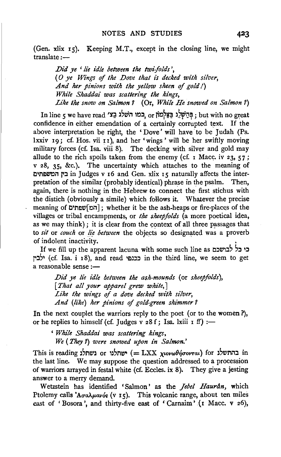(Gen. xlix  $r_5$ ). Keeping M.T., except in the closing line, we might  $translate : -$ 

*.Did ye 'lie idle between the twi.jolds* ', ( *0 ye Wi'ngs* of *the .Dove that is decked with silver, And her pinions with the yellow sheen* of *gold!) While Shaddai was scattering the kings, Like the snow on Salmon 7* (Or, *While He snowed on Salmon* 7)

In line 5 we have read  $\alpha$ כמו השלג בַצּי ) s : נְחַשְׁלֵג בַּצּי ; but with no great confidence in either emendation of a certainly corrupted text. If the above interpretation be right, the 'Dove' will have to be Judah (Ps. lxxiv 19; cf. Hos. vii 11), and her 'wings' will be her swiftly moving military forces (cf. Isa. viii 8). The decking with silver and gold may allude to the rich spoils taken from the enemy (cf. 1 Macc. iv 23, 57; v 28, 35, &c.). The uncertainty which attaches to the meaning of l:l'MEl~n r:l in Judges V I6 and Gen. xlix IS naturally affects the interpretation of the similar (probably identical) phrase in the psalm. Then, again, there is nothing in the Hebrew to connect the first stichus with the distich (obviously a simile) which follows it. Whatever the precise meaning of רְהמּןשׁפּתים; whether it be the ash-heaps or fire-places of the villages or tribal encampments, or *the sheepfolds* (a more poetical idea, as we may think); it is clear from the context of all three passages that to *sit* or *couch* or *lie between* the objects so designated was a proverb of indolent inactivity. •

If we fill up the apparent lacuna with some such line as כי כל לבושכם j':l'' (cf. Isa. i I8), and read 'ElJ:3:3 in the third line, we seem to get a reasonable sense :-

*.Did ye lie idle between the ash-mounds* (or *sheepfolds), [That all your apparel grew white,* J *Like the wings of a dove decked with silver, And (like) her pinions* of *gold-green shimmer 7* 

In the next couplet the warriors reply to the poet (or to the women ?), or he replies to himself (cf. Judges v 28 f; Isa. lxiii 1 ff) :-

*'While Shaddai was scattering kings, We* (*They ?*) *were snowed upon in Salmon.*'

This is reading בהתשלג or ישתלנו (= LXX xιονωθήσονται) for בהתשלג the last line. We may suppose the question addressed to a procession of warriors arrayed in festal white (cf. Eccles. ix 8). They give a jesting answer to a merry demand.

W etzstein has identified ' Salmon ' as the *Jebel Haurdn,* which Ptolemy calls 'A $\sigma$ a $\lambda \mu$ avós (v 15). This volcanic range, about ten miles east of 'Bosora', and thirty-five east of 'Carnaim' (1 Macc. v 26),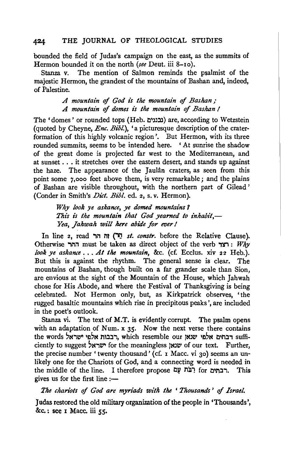bounded the field of Judas's campaign on the east, as the summits of Hermon bounded it on the north *(see* Deut. iii 8-1o).

Stanza v. The mention of Salmon reminds the psalmist of the majestic Hermon, the grandest of the mountains of Bashan and, indeed, of Palestine.

> *A mountain* of *God is the mountain* of *Bashan* ,· A *mountain* of *domes is the mountain* of *Bashan* I

The 'domes' or rounded tops (Heb. נבננים) are, according to Wetzstein (quoted by Cheyne, *Enc. Bibl.),* 'a picturesque description of the craterformation of this highly volcanic region'. But Hermon, with its three rounded summits, seems to be intended here. ' At sunrise the shadow of the great dome is projected far west to the Mediterranean, and at sunset . . . it stretches over the eastern desert, and stands up against the haze. The appearance of the Jaulân craters, as seen from this point some 7,ooo feet above them, is very remarkable; and the plains of Bashan are visible throughout, with the northern part of Gilead ' (Conder in Smith's *Diet. Bibl.* ed. 2, s. v. Hermon).

> *Why look ye askance, ye domed mountains* 1 This is the mountain that God vearned to inhabit.-Yea, Jahwah will here abide for ever!

In line 2, read *וח* זה ("*סֵר st. constr.* before the Relative Clause). Otherwise ההר must be taken as direct object of the verb  $W$ :  $W$ hy *look ye askance •* •• *At the mountain,* &c. (cf. Ecclus. xiv 22 Heb.). But this is against the rhythm. The general sense is clear. The mountains of Bashan, though built on a far grander scale than Sion, are envious at the sight of the Mountain of the House, which Jahwah chose for His Abode, and where the Festival of Thanksgiving is being celebrated. Not Hermon only, but, as Kirkpatrick observes, 'the rugged basaltic mountains which rise in precipitous peaks', are included in the poet's outlook.

Stanza vi. The text of M.T. is evidently corrupt. The psalm opens with an adaptation of Num.  $x$  35. Now the next verse there contains the words יבתים אלפי שנאן, which resemble our הבנחים אלפי ישראל, ciently to suggest שראל for the meaningless www of our text. Further, the precise number ' twenty thousand' (cf. 1 Macc. vi 30) seems an unlikely one for the Chariots of God, and a connecting word is needed in the middle of the line. I therefore propose רבתים for רבתים. This gives us for the first line  $:$ --

*The chariots* of *God are myriads with the* ' *Thousands* ' of *Israel.* 

Judas restored the old military organization of the people in 'Thousands',  $&c.$ : see I Macc. iii  $55$ .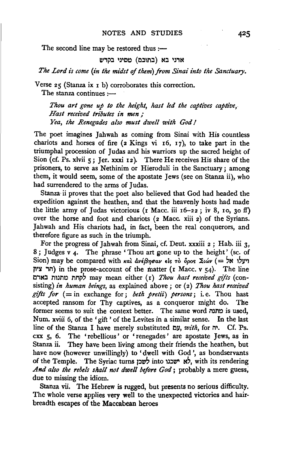The second line may be restored thus  $:=$ 

#### אדני בא (בתוכם) מסיני בקדש

*The Lord is come (in the midst of them) from Sinai into the Sanctuary.* 

Verse 25 (Stanza ix r b) corroborates this correction. The stanza continues  $:$ ---

*Thou art gone up to the height, hast led the captives captive, Hast received tributes in men* ; *Yea, the Renegades also must dwell with God I* 

The poet imagines Jahwah as coming from Sinai with His countless chariots and horses of fire ( $2$  Kings vi  $16$ ,  $17$ ), to take part in the triumphal procession of Judas and his warriors up the sacred height of Sion (cf. Ps. xlvii 5; Jer. xxxi 12). There He receives His share of the prisoners, to serve as Nethinim or Hieroduli in the Sanctuary; among them, it would seem, some of the apostate Jews (see on Stanza ii), who had surrendered to the arms of Judas.

Stanza ii proves that the poet also believed that God had headed the expedition against the heathen, and that the heavenly hosts had made the little army of Judas victorious ( $r$  Macc. iii  $r6-22$ ; iv 8,  $r0$ ,  $30$  ff) over the horse and foot and chariots (2 Mace. xiii 2) of the Syrians. Jahwah and His chariots had, in fact, been the real conquerors, and therefore figure as such in the triumph.

For the progress of Jahwah from Sinai, cf. Deut. xxxiii 2; Hab. iii 3, 8 *;* Judges v *4·* The phrase ' Thou art gone up to the height' (se. of Sion) may be compared with *και ανέβησαν* είς το *δρος Σιών* (= >N ιγι'l והר ציון) in the prose-account of the matter (r Macc.  $v$  54). The line C,N::I mJnc nnp~ may mean either (x) *Thou hast recez'ved gzJts* (consisting) *in human beings,* as explained above; or (2) *Thou hast received*   $gifts$  for  $(=$  in exchange for; *beth pretii*) persons; i.e. Thou hast accepted ransom for Thy captives, as a conqueror might do. The former seems to suit the context better. The same word context, is used, Num. xviii 6, of the 'gift' of the Levites in a similar sense. In the last line of the Stanza I have merely substituted *ב*ש*ו, with*, for  $\pi$ . Cf. Ps. cxx 5, 6. The 'rebellious ' or ' renegades ' are apostate Jews, as in Stanza ii. They have been living among their friends the heathen, but have now (however unwillingly) to 'dwell with God', as bondservants of the Temple. The Syriac turns לשכו into לשכו אי איבנו with its rendering And also the rebels shall not dwell before God; probably a mere guess, due to missing the idiom.

Stanza vii. The Hebrew is rugged, but presents no serious difficulty. The whole verse applies very well to the unexpected victories and hairbreadth escapes of the Maccabean heroes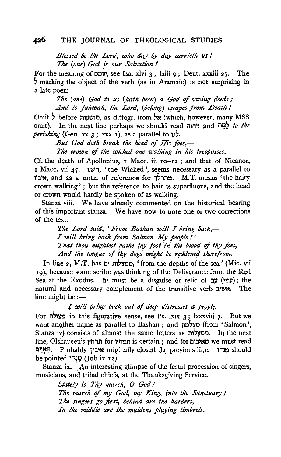*Blessed be the Lord, who day by day carrieth us* I *The (one) God \_is our Salvation* I

For the meaning of  $\Box y$ , see Isa. xlvi 3; lxiii 9; Deut. xxxiii 27. The ~marking the object of the verb (as in Aramaic) is not surprising in a late poem.

*The (one) God to us (hath been) a God of saving deeds;*  And to Jahwah, the Lord, (belong) escapes from Death !

Omit  $\frac{1}{2}$  before encypthenent com  $\frac{1}{2}$  (which, however, many MSS omit). In the neJCt line perhaps we should read MlM'l and MW~ *to the*   $perishing$  (Gen. xx 3; xxx 1), as a parallel to 1).

*But God doth break the head of His foes,-*

*The crown of the wicked one walking in his trespasses.* 

Cf. the death of Apollonius, r Mace. iii Io-r2 ; and that of Nicanor, I Macc. vii 47.  $yw$ , 'the Wicked', seems necessary as a parallel to וביו, and as a noun of reference for . מתהלך M.T. means 'the hairy crown walking' ; but the reference to hair is superfluous, and the head or crown would hardly be spoken of as walking.

Stanza viii. We have already commented on the historical bearing of this important stanza. We have now to note one or two corrections of the text.

> The Lord said, 'From Bashan will I bring back,-*I will bring back from Salmon My people* I ' That thou mightest bathe thy foot in the blood of thy foes, *And the tongue of thy dogs might be reddened iherefrom.*

In line 2, M.T. has ממצלות ים, ' from the depths of the sea' (Mic. vii 19), because some scribe was thinking of the Deliverance from the Red Sea at the Exodus.  $D'$  must be a disguise or relic of  $D'$  ('l: the natural and necessary complement of the transitive verb "אשיב. The line might be  $:$   $-$ 

I will bring back out of deep distresses a people.

For מצולה in this figurative sense, see Ps. lxix 3; lxxxviii 7. But we want another name as parallel to Bashan ; and מצלמון (from 'Salmon', Stanza iv) consists of almost the same letters as ממצלות. In the next line, Olshausen's תמחץ for phon is certain ; and for const read תִּאָרָם. Probably איביך originally closed the previous line. חִאָרָם be pointed יְנִיהוּ (Job iv 12).

Stanza ix. An interesting glimpse af the festal procession of singers, musicians, and tribal chiefs, at the Thanksgiving Service.

> *Stately is Thy march, 0 God!- The march of my God, my King, into the Sanctuary* I *The singers go first, behind are the harpers,*  In the middle are the maidens playing timbrels.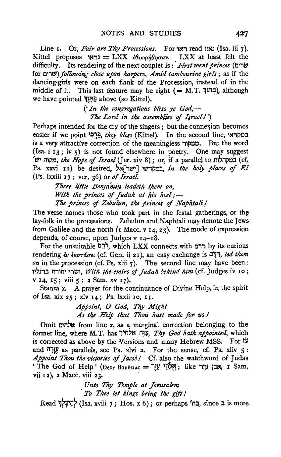Line I. Or, *Fair are Thy Processions*. For יאון read און (Isa. lii 7). Kittel proposes נראו  $=$ LXX  $\epsilon \theta \epsilon \omega \rho \eta \theta \eta \sigma \alpha$ v. LXX at least felt the difficulty. Its rendering of the next couplet is *:·First went princes* (C'i\1 for C1iei) *following close upon harpers, Amid tambourine girls;* as if the dancing-girls were on each flank of the Procession, instead of in the middle of it. This last feature may be right  $($  = M.T.  $\vec{\eta}$  $|\vec{n}|$ ), although we have pointed בַּתְּוֶךְ above (so Kittel).

> *('In the congregations bless ye God,-* The Lord in the assemblies of *Israell'*)

Perhaps intended for the cry of the singers; but the connexion becomes easier if we point "בִּרְנוּ *they bless* (Kittel). In the second line, במקראי is a very attractive correction of the meaningless , aut the word (Isa. i  $13$ ; iv 5) is not found elsewhere in poetry. One may suggest '~ M1~, *the Hppe* of *Israel* (]er. xiv 8); or, if a parallel to rn?npo:l (cf. Ps. xxvi 12) be desired, רבמקדשי | וישר במקדשי, *in the holy places of El* (Ps. lxxiii 17; ver, 36) or of *Israel.* 

> *There little Benja'm:in leadeth them on, With the princes of Judah at his heel;-* The princes of Zebulun, the princes of *Naphtali!*

The verse names those who took part in the festal gatherings, or the lay-folk in the processions. Zebulun and Naphtali may denote the Jews from Galilee and the north (I Macc. v  $I_4$ , 23). The mode of expression depends, of course, upon Judges v  $14-18$ .

For the unsuitable רדם, which LXX connects with רדם by its curious rendering *εν εκστάσει* (cf. Gen. ii 21), an easy exchange is  $E$ <sub>7</sub>, *led them*  $\omega$ *n* in the procession (cf. Ps. xlii  $\gamma$ ). The second line may have been: ,,;),::! M'l1M' ''lWI, *With the emirs* of *Judah behind him* (cf. Judges iv Io; v 14, IS; viii 5 ; 2 Sam. xv I7)·

Stanza x. A prayer for the continuance of Divine Help, in the spirit oflsa. xix 25; xlv 14; Ps. lxxii Jo, I J·

> *Appoint, 0 God, Thy Might As 14e Help lh.at Thou hast made for- us* I

Omit אלהים from line 2, as a marginal correction belonging to the former line, where M.T. has אֲהָה אלחיך, Thy God hath appointed, which is corrected as above by the Versions and many Hebrew MSS. For  $\ddot{v}$ and *"11¥* as parallels, see Ps. xlvi 2. For the sense, cf. Ps. xliv 5 : *Appoint Thou the victorie.s* of *Jacobl* Cf. also the watchword of Judas 'The God of Help' (Θεογ ΒοΗθειλς = אבן עזר ike ; like , אבן Sam. vii 12), 2 Macc. viii 23.

> *Unto Thy Temple al Jerusalem*  · *To Thee let kings bring the gift* I

Read יְהֵיכָלְךְ (Isa. xviii 7; Hos. x 6); or perhaps 'בָה since בּח is more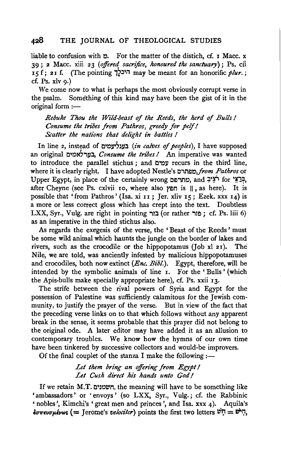liable to confusion with  $\phi$ . For the matter of the distich, cf. I Mace. x 39; 2 Mace. xiii 23 *(offered sacrifice, honoured the sanctuary);* Ps. cii  $I$  5 f; 21 f. (The pointing  $\overline{I}$ <sup>1</sup> may be meant for an honorific *plur*.; cf. Ps.  $x|v\ q.$ )

We come now to what is perhaps the most obviously corrupt verse in the psalm. Something of this kind may have been the gist of it in the original form  $:=$ 

*Rebuke Thou the Wild-beast* of *the Reeds, the herd* of *Bulls I Consume the tribes from Pathros, greedy for pelf I Scatter the nations that delight in battles I* 

In line 2, instead of 1:1 Cll~~lll.l *(in calves of peoples),* I have supposed an original בערלאמים, *Consume the tribes!* An imperative was wanted to introduce the parallel stichus; and עמים recurs in the third line, where it is clearly right. I have adopted Nestle's *01M!lC,from Pathros* or Upper Egypt, in place of the certainly wrong entries, and יֹצִיבּ, after Cheyne (see Ps. cxlvii 10, where also ותמץ is 11, as here). It is possible that 'from Pathros' (Isa. xi 11; Jer. xliv 15; Ezek. xxx 14) is a more or less correct gloss which has crept into the text. Doubtless  $LXX$ , Syr., Vulg. are right in pointing בור (or rather : פור  $;$  cf. Ps. liii 6) as an imperative in the third stichus also.

As regards the exegesis of the verse, the 'Beast of the Reeds' must be some wild animal which haunts the jungle on the border of lakes and rivers, such as the crocodile or the hippopotamus (Job xl 2I). The Nile, we are told, was anciently infested by malicious hippopotamuses and crocodiles, both now extinct *(Enc. Bib!.).* Egypt, therefore, will be intended by the symbolic animals of line I. For the 'Bulls' (which the Apis-bulls make specially appropriate here), cf. Ps. xxii I3·

The strife between the rival powers of Syria and Egypt for the possession of Palestine was sufficiently calamitous for the Jewish community, to justify the prayer of the verse. But in view of the fact that the preceding verse links on to that which follows without any apparent break in the sense, it seems probable that this prayer did not belong to the original ode. A later editor may have added it as an allusion to contemporary troubles. We know how the hymns of our own time have been tinkered by successive collectors and would-be improvers.

Of the final couplet of the stanza I make the following  $:$ 

## Let them bring an offering from Egypt! *Let Cush direct hi's hands unto God I*

If we retain M.T. ושמנים, the meaning will have to be something like 'ambassadors' or 'envoys' (so LXX, Syr., Vulg.; cf. the Rabbinic ' nobles ', Kimchi's 'great men and princes ', and Isa. xxx 4). Aquila's  $\epsilon \sigma \tau \epsilon v \sigma \mu \epsilon v \omega s$  (= Jerome's *velociter*) points the first two letters  $v^i \Pi = v^i \Pi$ ,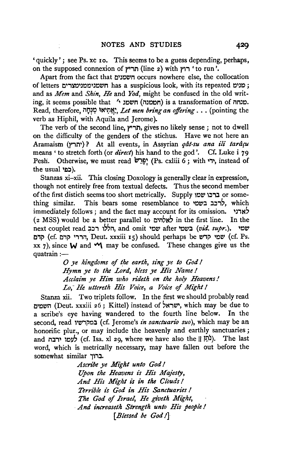'quickly'; see Ps. xc Io. This seems to be a guess depending, perhaps, on the supposed connexion of תריץ (line 2) with ירוץ (corun'.

Apart from the fact that חשמנים occurs nowhere else, the collocation of letters ימנים mas a suspicious look, with its repeated ; : מנים and as *Mem* and *Shin, He* and *Yod,* might be confused in the old writing, it seems possible that 'ישמנ ו' ) is a transformation of המנחה. Read, therefore, il~?l;) ~N J;l~~. *Let men bring an offen'ng* ... (pointing the verb as Hiphil, with Aquila and Jerome).

The verb of the second line, תריץ, gives no likely sense ; not to dwell on the difficulty of the genders of the stichus. Have we not here an Aramaism (~n·)? At all events, in Assyrian *qat-su ana ili tararu*  means 'to stretch forth (or *direct)* his hand to the god'. Cf. Luke i 79 Pesh. Otherwise, we must read יְהוֹ (Ps. cxliii 6; with יְהוּ instead of the usual 'במי).

Stanzas xi-xii. This closing Doxology is generally clear in expression, though not entirely free from textual defects. Thus the second member of the first distich seems too short metrically. Supply **וכיכו** שמו or some-<br>לרכב בשמי or some resemblance to לרכב בשמי ,, which לרכב בשמי This bears some resemblance to . immediately follows; and the fact may account for its omission.  $\forall x$ (2 MSS) would be a better parallel to לאלהים in the first line. In the next couplet read ... הללו רבב next couplet read l::l, '~'il, and omit •o~ after ~~~l *(vid. supr.).* ~~~ קרם (cf. הררי קדם, Deut. xxxiii 15) should perhaps be שמי קדש (cf. Ps. xx 7), since  $\mathsf{W}$  and  $\mathsf{M}$  may be confused. These changes give us the quatrain:-

> *0 ye kingdoms of the earth, sing ye to God* I *Hymn ye to the Lord, bless ye His Name* I *Acclaim ye Him who n'detk on tke koly Heavens! Lo,- He uttereth Hi's Voice, a Voice of Might* I

Stanza xii. Two triplets follow. In the first we should probably read תשמים (Deut. xxxiii 26; Kittel) instead of ישראל, which may be due to a scribe's eve having wandered to the fourth line below. In the a scribe's eye having wandered to the fourth line below. second, read במקדשיו (cf. Jerome's *in sanctuario suo*), which may be an honorific plur., or may include the heavenly and earthly sanctuaries; and לעמו ירבה) (cf. Isa. xl 29, where we have also the ll word, which is metrically necessary, may have fallen out before the somewhat similar 1.

> *Ascn'be ye Mi'ght unto God* I *Upon the Heavens is His Majesty, And His Might i's in the Clouds* I *Terrible is God in His Sanctuaries* I *The God of Israel, He giveth Might,*  · *And increasetk Strength unto His people* I *[Blessed be God I]*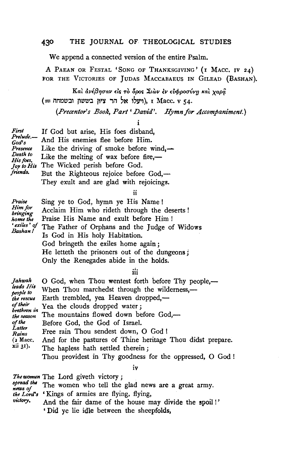We append a connected version of the entire Psalm.

A PAEAN OR FESTAL 'SONG OF THANKSGIVING' (I MACC. IV 24) FOR THE VICTORIES OF JUDAS MACCABAEUS IN GILEAD (BASHAN).

Kai ανέβησαν είς τὸ όρος Σιων εν ευφροσύνη και χαρα (= חדעלו אל הר ציון בששון ובשמחה), ו Macc. v 54.

*{Precentor's Book, Part' David'. Hymn for Accompaniment.)* 

i

First If God but arise, His foes disband,  $F$ <sup>r</sup>  $God's$  And His enemies flee before Him. *Presence* Like the driving of smoke before wind,  $-\frac{D\theta}{2}$ *f*:*Like* the melting of wax before fire,—<br>*His foss*, *Ins The Wicked perish before God.* The Wicked perish before God. *friends.* But the Righteous rejoice before God,---They exult and are glad with rejoicings.

ii

*Praise* Sing ye to God, hymn ye His Name! Him for Acclaim Him who rideth through the deserts! *home the* Praise His Name and exult before Him ! 'exiles' of The Father of Orphans and the Judge of Widows Is God in His holy Habitation. God bringeth the exiles home again ; He letteth the prisoners out of the dungeons ; Only the Renegades abide in the holds.

iii

| Jahwah<br>leads His<br>people to<br>the rescue<br>of their<br>brethren in<br>the season<br>of the<br>Latter<br>Rains<br>$(2 \text{ Macc.})$<br>xii 31). | O God, when Thou wentest forth before Thy people,-<br>When Thou marchedst through the wilderness,—<br>Earth trembled, yea Heaven dropped,—<br>Yea the clouds dropped water;<br>The mountains flowed down before God,-<br>Before God, the God of Israel.<br>Free rain Thou sendest down, O God !<br>And for the pastures of Thine heritage Thou didst prepare.<br>The hapless hath settled therein; |
|---------------------------------------------------------------------------------------------------------------------------------------------------------|----------------------------------------------------------------------------------------------------------------------------------------------------------------------------------------------------------------------------------------------------------------------------------------------------------------------------------------------------------------------------------------------------|
|                                                                                                                                                         | Thou providest in Thy goodness for the oppressed, O God!                                                                                                                                                                                                                                                                                                                                           |

IV

|          | <i>The women</i> The Lord giveth victory;                     |
|----------|---------------------------------------------------------------|
| news of  | spread the The women who tell the glad news are a great army. |
|          | the Lord's 'Kings of armies are flying, flying,               |
| victory. | And the fair dame of the house may divide the spoil!          |
|          | 'Did ve lie idle between the sheepfolds.                      |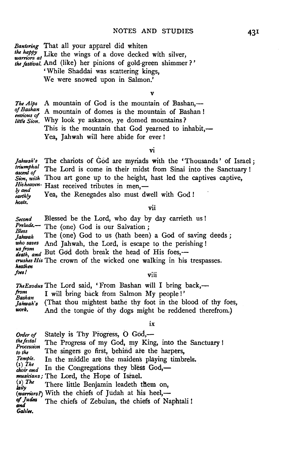*Bantering* That all your apparel did whiten<br>*the happy* Like the wings of a dove decked with silver,<br>warriors at *the festival.* And (like) her pinions of gold-green shimmer ?' ' While Shaddai was scattering kings,

We were snowed upon in Salmon.'

V

*The Alps* A mountain of God is the mountain of Bashan,—of Bashan A mountain of domes is the mountain of Bashan! *of Bashan*, A mountain of domes is the mountain of Bashan!<br> *envious of* Mbu lack us acknown as domed mountains? *little Sion.* Why look ye askance, ye domed mountains? This is the mountain that God yearned to inhabit,-Yea, Jahwah will here abide for ever!

VI

*Jahwah's* The chariots of God are myriads with the 'Thousands' of Israel;<br>*inumphal* The Lord is come in their midst from Sinej into the Songtuary!  $t$ <sup>riumphal</sup> The Lord is come in their midst from Sinai into the Sanctuary ! Sion, with Thou art gone up to the height, hast led the captives captive, *Hisheaven*- Hast received tributes in men,—<br>*ly and* **1** • Yea, the Renegades also must dv Yea, the Renegades also must dwell with God! *hosts.* 

vii

Second Blessed be the Lord, who day by day carrieth us !<br>Prelude.- The (one) God is our Salvation; *Pless*<br>*Jahwah* The (one) God to us (hath been) a God of saving deeds;<br>*who saves* And Jahwah, the Lord, is escape to the perishing! *ws from*<br>*death, and* But God doth break the head of His foes,crushes *His* The crown of the wicked one walking in his trespasses. *heathen foes/* viii

|                       | The Exodus The Lord said, 'From Bashan will I bring back,-   |
|-----------------------|--------------------------------------------------------------|
| from<br><i>Bashan</i> | I will bring back from Salmon My people!'                    |
| Jahwah's              | (That thou mightest bathe thy foot in the blood of thy foes, |
| work.                 | And the tongue of thy dogs might be reddened therefrom.)     |

ix

| Order of               | Stately is Thy Progress, O God,-                     |
|------------------------|------------------------------------------------------|
| the festal             | The Progress of my God, my King, into the Sanctuary! |
| Procession<br>to the   | The singers go first, behind are the harpers,        |
| Temple.                | In the middle are the maidens playing timbrels.      |
| $(i)$ The<br>choir and | In the Congregations they bless God,—                |
|                        | musicians; The Lord, the Hope of Israel.             |
| (2) The<br>laity       | There little Benjamin leadeth them on,               |
|                        | (warriors?) With the chiefs of Judah at his heel,-   |
| of Judea               | The chiefs of Zebulun, the chiefs of Naphtali!       |
| and<br>Galilee.        |                                                      |